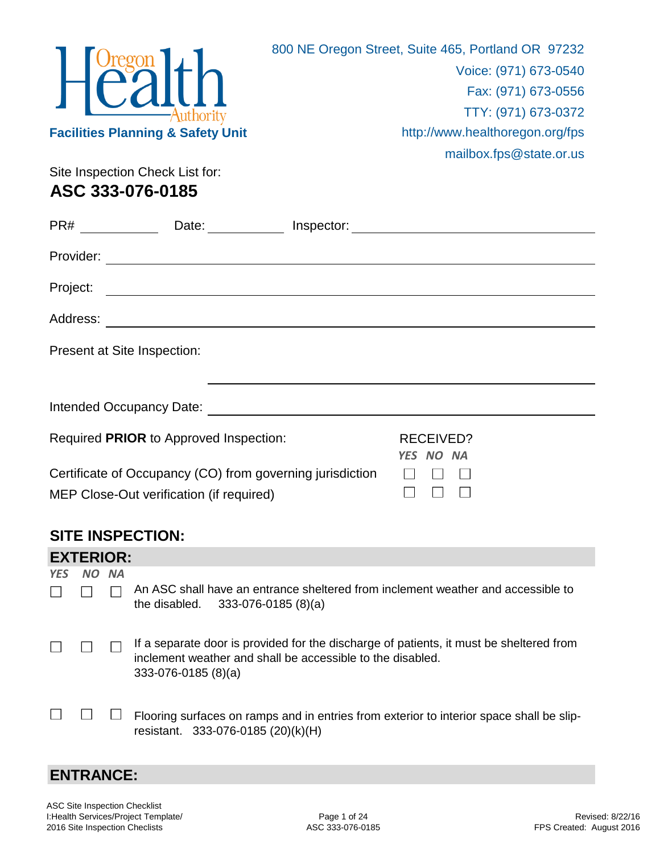|            |                  |           | uthority<br><b>Facilities Planning &amp; Safety Unit</b><br>Site Inspection Check List for:<br>ASC 333-076-0185 | 800 NE Oregon Street, Suite 465, Portland OR 97232<br>Voice: (971) 673-0540<br>Fax: (971) 673-0556<br>TTY: (971) 673-0372<br>http://www.healthoregon.org/fps<br>mailbox.fps@state.or.us |
|------------|------------------|-----------|-----------------------------------------------------------------------------------------------------------------|-----------------------------------------------------------------------------------------------------------------------------------------------------------------------------------------|
|            |                  |           | PR# _________________Date: ______________Inspector: ____________________________                                |                                                                                                                                                                                         |
|            |                  |           |                                                                                                                 |                                                                                                                                                                                         |
|            | Project:         |           | <u> 1980 - Johann Barn, fransk politik fotograf (d. 1980)</u>                                                   |                                                                                                                                                                                         |
|            |                  |           |                                                                                                                 |                                                                                                                                                                                         |
|            |                  |           | Present at Site Inspection:                                                                                     |                                                                                                                                                                                         |
|            |                  |           |                                                                                                                 |                                                                                                                                                                                         |
|            |                  |           | Required PRIOR to Approved Inspection:                                                                          | <b>RECEIVED?</b><br>YES NO NA                                                                                                                                                           |
|            |                  |           | Certificate of Occupancy (CO) from governing jurisdiction<br>MEP Close-Out verification (if required)           |                                                                                                                                                                                         |
|            |                  |           | <b>SITE INSPECTION:</b>                                                                                         |                                                                                                                                                                                         |
|            | <b>EXTERIOR:</b> |           |                                                                                                                 |                                                                                                                                                                                         |
| <b>YES</b> | NO.              | <b>NA</b> |                                                                                                                 |                                                                                                                                                                                         |
|            |                  |           | the disabled.<br>$333-076-0185(8)(a)$                                                                           | An ASC shall have an entrance sheltered from inclement weather and accessible to                                                                                                        |
|            |                  |           | inclement weather and shall be accessible to the disabled.<br>$333-076-0185(8)(a)$                              | If a separate door is provided for the discharge of patients, it must be sheltered from                                                                                                 |
|            |                  |           | resistant. 333-076-0185 (20)(k)(H)                                                                              | Flooring surfaces on ramps and in entries from exterior to interior space shall be slip-                                                                                                |

## **ENTRANCE:**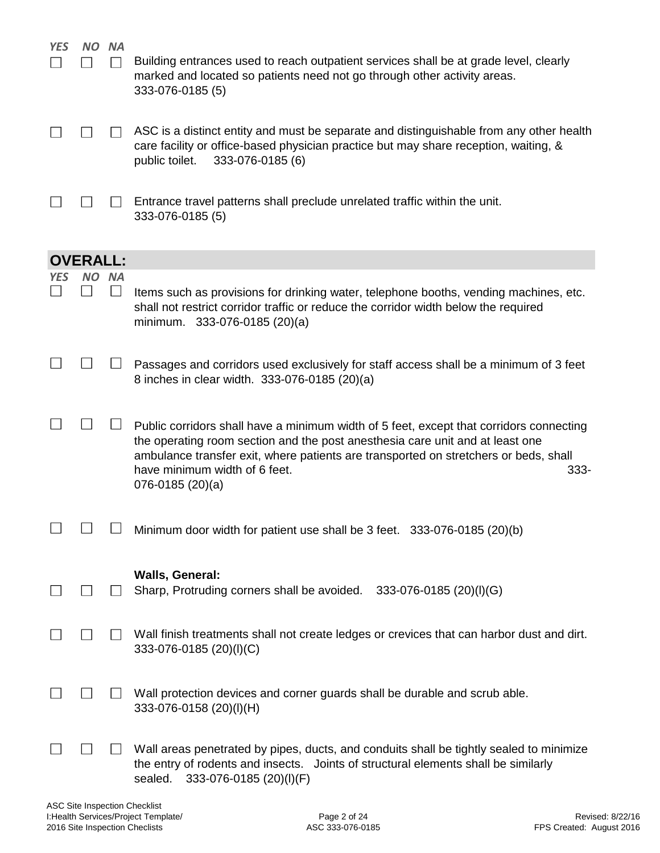| <b>YES</b> | NO.             | <b>NA</b> | Building entrances used to reach outpatient services shall be at grade level, clearly<br>marked and located so patients need not go through other activity areas.<br>333-076-0185 (5)                                                                                                                                            |
|------------|-----------------|-----------|----------------------------------------------------------------------------------------------------------------------------------------------------------------------------------------------------------------------------------------------------------------------------------------------------------------------------------|
|            |                 |           | ASC is a distinct entity and must be separate and distinguishable from any other health<br>care facility or office-based physician practice but may share reception, waiting, &<br>public toilet.<br>333-076-0185 (6)                                                                                                            |
|            |                 |           | Entrance travel patterns shall preclude unrelated traffic within the unit.<br>333-076-0185 (5)                                                                                                                                                                                                                                   |
|            | <b>OVERALL:</b> |           |                                                                                                                                                                                                                                                                                                                                  |
| YES        |                 | NO NA     | Items such as provisions for drinking water, telephone booths, vending machines, etc.<br>shall not restrict corridor traffic or reduce the corridor width below the required<br>minimum. 333-076-0185 (20)(a)                                                                                                                    |
|            |                 |           | Passages and corridors used exclusively for staff access shall be a minimum of 3 feet<br>8 inches in clear width. 333-076-0185 (20)(a)                                                                                                                                                                                           |
|            |                 |           | Public corridors shall have a minimum width of 5 feet, except that corridors connecting<br>the operating room section and the post anesthesia care unit and at least one<br>ambulance transfer exit, where patients are transported on stretchers or beds, shall<br>have minimum width of 6 feet.<br>333-<br>$076 - 0185(20)(a)$ |
|            |                 |           | Minimum door width for patient use shall be 3 feet. 333-076-0185 (20)(b)                                                                                                                                                                                                                                                         |
|            |                 |           | <b>Walls, General:</b><br>Sharp, Protruding corners shall be avoided. 333-076-0185 (20)(I)(G)                                                                                                                                                                                                                                    |
|            |                 |           | Wall finish treatments shall not create ledges or crevices that can harbor dust and dirt.<br>333-076-0185 (20)(I)(C)                                                                                                                                                                                                             |
|            |                 |           | Wall protection devices and corner guards shall be durable and scrub able.<br>333-076-0158 (20)(I)(H)                                                                                                                                                                                                                            |
|            |                 |           | Wall areas penetrated by pipes, ducts, and conduits shall be tightly sealed to minimize<br>the entry of rodents and insects. Joints of structural elements shall be similarly<br>333-076-0185 (20)(I)(F)<br>sealed.                                                                                                              |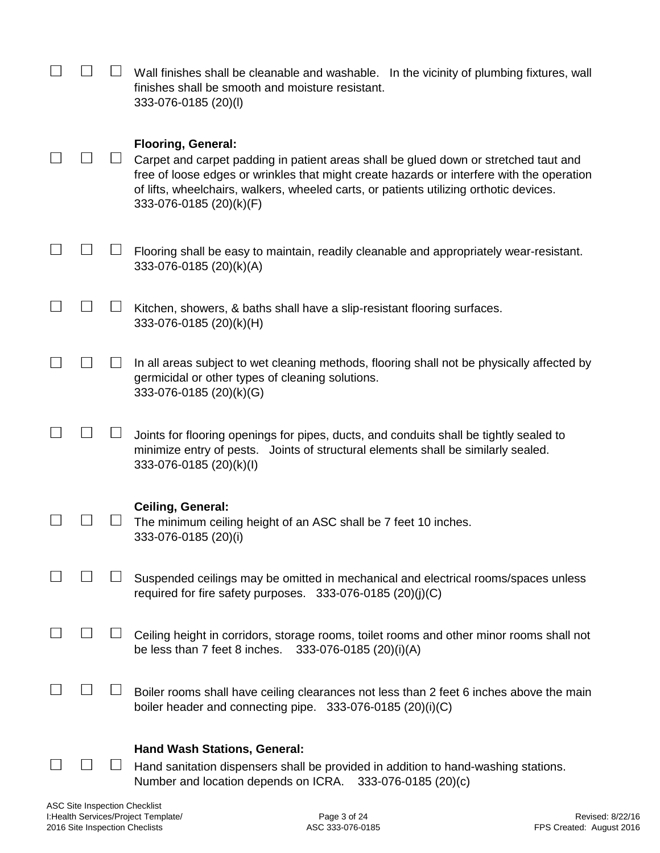|  | Wall finishes shall be cleanable and washable. In the vicinity of plumbing fixtures, wall<br>finishes shall be smooth and moisture resistant.<br>333-076-0185 (20)(l)                                                                                                                                                               |
|--|-------------------------------------------------------------------------------------------------------------------------------------------------------------------------------------------------------------------------------------------------------------------------------------------------------------------------------------|
|  | <b>Flooring, General:</b><br>Carpet and carpet padding in patient areas shall be glued down or stretched taut and<br>free of loose edges or wrinkles that might create hazards or interfere with the operation<br>of lifts, wheelchairs, walkers, wheeled carts, or patients utilizing orthotic devices.<br>333-076-0185 (20)(k)(F) |
|  | Flooring shall be easy to maintain, readily cleanable and appropriately wear-resistant.<br>333-076-0185 (20)(k)(A)                                                                                                                                                                                                                  |
|  | Kitchen, showers, & baths shall have a slip-resistant flooring surfaces.<br>333-076-0185 (20)(k)(H)                                                                                                                                                                                                                                 |
|  | In all areas subject to wet cleaning methods, flooring shall not be physically affected by<br>germicidal or other types of cleaning solutions.<br>333-076-0185 (20)(k)(G)                                                                                                                                                           |
|  | Joints for flooring openings for pipes, ducts, and conduits shall be tightly sealed to<br>minimize entry of pests. Joints of structural elements shall be similarly sealed.<br>333-076-0185 (20)(k)(l)                                                                                                                              |
|  | <b>Ceiling, General:</b><br>The minimum ceiling height of an ASC shall be 7 feet 10 inches.<br>333-076-0185 (20)(i)                                                                                                                                                                                                                 |
|  | Suspended ceilings may be omitted in mechanical and electrical rooms/spaces unless<br>required for fire safety purposes. $333-076-0185(20)(i)(C)$                                                                                                                                                                                   |
|  | Ceiling height in corridors, storage rooms, toilet rooms and other minor rooms shall not<br>be less than 7 feet 8 inches.<br>333-076-0185 (20)(i)(A)                                                                                                                                                                                |
|  | Boiler rooms shall have ceiling clearances not less than 2 feet 6 inches above the main<br>boiler header and connecting pipe. $333-076-0185$ (20)(i)(C)                                                                                                                                                                             |
|  | <b>Hand Wash Stations, General:</b><br>Hand sanitation dispensers shall be provided in addition to hand-washing stations.<br>Number and location depends on ICRA. 333-076-0185 (20)(c)                                                                                                                                              |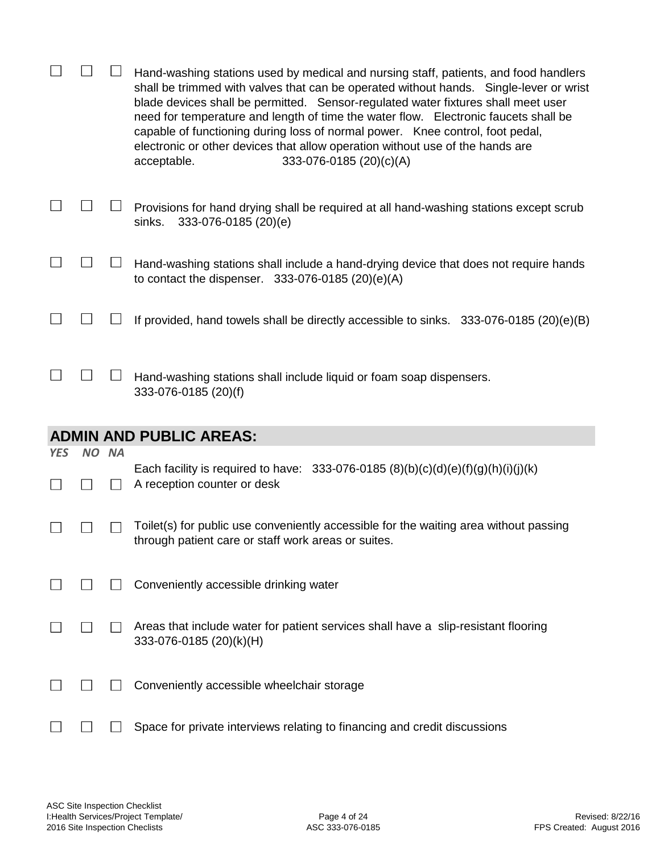|            |       | Hand-washing stations used by medical and nursing staff, patients, and food handlers<br>shall be trimmed with valves that can be operated without hands. Single-lever or wrist<br>blade devices shall be permitted. Sensor-regulated water fixtures shall meet user<br>need for temperature and length of time the water flow. Electronic faucets shall be<br>capable of functioning during loss of normal power. Knee control, foot pedal,<br>electronic or other devices that allow operation without use of the hands are<br>acceptable.<br>333-076-0185 (20)(c)(A) |
|------------|-------|------------------------------------------------------------------------------------------------------------------------------------------------------------------------------------------------------------------------------------------------------------------------------------------------------------------------------------------------------------------------------------------------------------------------------------------------------------------------------------------------------------------------------------------------------------------------|
|            |       | Provisions for hand drying shall be required at all hand-washing stations except scrub<br>sinks.<br>333-076-0185 (20)(e)                                                                                                                                                                                                                                                                                                                                                                                                                                               |
|            |       | Hand-washing stations shall include a hand-drying device that does not require hands<br>to contact the dispenser. $333-076-0185$ (20)(e)(A)                                                                                                                                                                                                                                                                                                                                                                                                                            |
|            |       | If provided, hand towels shall be directly accessible to sinks. 333-076-0185 (20)(e)(B)                                                                                                                                                                                                                                                                                                                                                                                                                                                                                |
|            |       | Hand-washing stations shall include liquid or foam soap dispensers.<br>333-076-0185 (20)(f)                                                                                                                                                                                                                                                                                                                                                                                                                                                                            |
|            |       | <b>ADMIN AND PUBLIC AREAS:</b>                                                                                                                                                                                                                                                                                                                                                                                                                                                                                                                                         |
| <b>YES</b> | NO NA |                                                                                                                                                                                                                                                                                                                                                                                                                                                                                                                                                                        |
|            |       | Each facility is required to have: 333-076-0185 (8)(b)(c)(d)(e)(f)(g)(h)(i)(j)(k)<br>A reception counter or desk                                                                                                                                                                                                                                                                                                                                                                                                                                                       |
|            |       | Toilet(s) for public use conveniently accessible for the waiting area without passing<br>through patient care or staff work areas or suites.                                                                                                                                                                                                                                                                                                                                                                                                                           |
|            |       | Conveniently accessible drinking water                                                                                                                                                                                                                                                                                                                                                                                                                                                                                                                                 |
|            |       | Areas that include water for patient services shall have a slip-resistant flooring<br>333-076-0185 (20)(k)(H)                                                                                                                                                                                                                                                                                                                                                                                                                                                          |
|            |       | Conveniently accessible wheelchair storage                                                                                                                                                                                                                                                                                                                                                                                                                                                                                                                             |
|            |       | Space for private interviews relating to financing and credit discussions                                                                                                                                                                                                                                                                                                                                                                                                                                                                                              |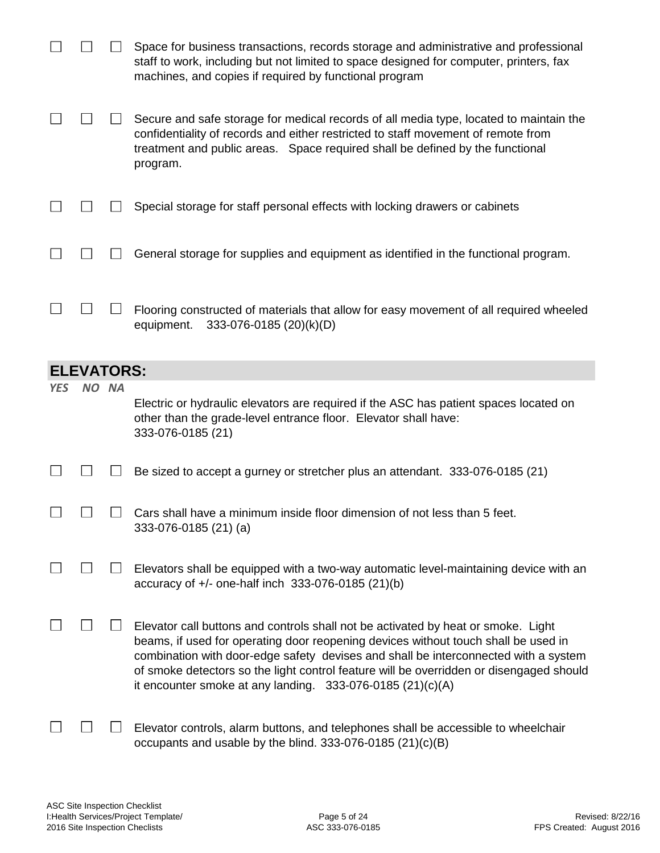|            |                   |       | Space for business transactions, records storage and administrative and professional<br>staff to work, including but not limited to space designed for computer, printers, fax<br>machines, and copies if required by functional program                                                                                                                                                                                 |
|------------|-------------------|-------|--------------------------------------------------------------------------------------------------------------------------------------------------------------------------------------------------------------------------------------------------------------------------------------------------------------------------------------------------------------------------------------------------------------------------|
|            |                   |       | Secure and safe storage for medical records of all media type, located to maintain the<br>confidentiality of records and either restricted to staff movement of remote from<br>treatment and public areas. Space required shall be defined by the functional<br>program.                                                                                                                                                 |
|            |                   |       | Special storage for staff personal effects with locking drawers or cabinets                                                                                                                                                                                                                                                                                                                                              |
|            |                   |       | General storage for supplies and equipment as identified in the functional program.                                                                                                                                                                                                                                                                                                                                      |
|            |                   |       | Flooring constructed of materials that allow for easy movement of all required wheeled<br>equipment.<br>333-076-0185 (20)(k)(D)                                                                                                                                                                                                                                                                                          |
|            | <b>ELEVATORS:</b> |       |                                                                                                                                                                                                                                                                                                                                                                                                                          |
| <b>YES</b> |                   | NO NA | Electric or hydraulic elevators are required if the ASC has patient spaces located on                                                                                                                                                                                                                                                                                                                                    |
|            |                   |       | other than the grade-level entrance floor. Elevator shall have:<br>333-076-0185 (21)                                                                                                                                                                                                                                                                                                                                     |
|            |                   |       | Be sized to accept a gurney or stretcher plus an attendant. 333-076-0185 (21)                                                                                                                                                                                                                                                                                                                                            |
|            |                   |       | Cars shall have a minimum inside floor dimension of not less than 5 feet.<br>333-076-0185 (21) (a)                                                                                                                                                                                                                                                                                                                       |
|            |                   |       | Elevators shall be equipped with a two-way automatic level-maintaining device with an<br>accuracy of +/- one-half inch 333-076-0185 (21)(b)                                                                                                                                                                                                                                                                              |
|            |                   |       | Elevator call buttons and controls shall not be activated by heat or smoke. Light<br>beams, if used for operating door reopening devices without touch shall be used in<br>combination with door-edge safety devises and shall be interconnected with a system<br>of smoke detectors so the light control feature will be overridden or disengaged should<br>it encounter smoke at any landing. $333-076-0185(21)(c)(A)$ |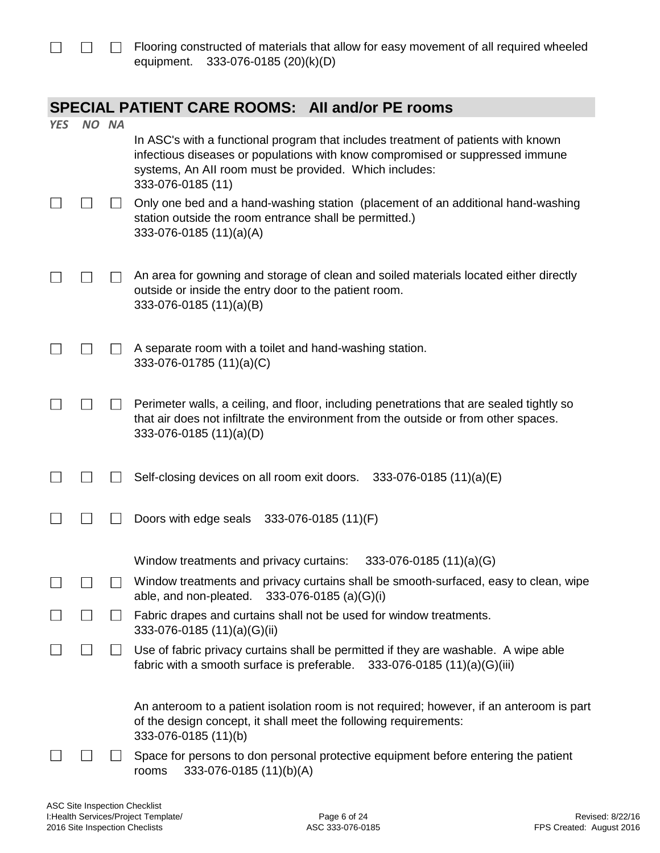## **SPECIAL PATIENT CARE ROOMS: AII and/or PE rooms**

| <b>YES</b> | NO NA          |               |                                                                                                                                                                                                                                                   |
|------------|----------------|---------------|---------------------------------------------------------------------------------------------------------------------------------------------------------------------------------------------------------------------------------------------------|
|            |                |               | In ASC's with a functional program that includes treatment of patients with known<br>infectious diseases or populations with know compromised or suppressed immune<br>systems, An All room must be provided. Which includes:<br>333-076-0185 (11) |
|            |                |               | Only one bed and a hand-washing station (placement of an additional hand-washing<br>station outside the room entrance shall be permitted.)<br>333-076-0185 (11)(a)(A)                                                                             |
|            |                |               | An area for gowning and storage of clean and soiled materials located either directly<br>outside or inside the entry door to the patient room.<br>333-076-0185 (11)(a)(B)                                                                         |
|            |                |               | A separate room with a toilet and hand-washing station.<br>333-076-01785 (11)(a)(C)                                                                                                                                                               |
|            |                |               | Perimeter walls, a ceiling, and floor, including penetrations that are sealed tightly so<br>that air does not infiltrate the environment from the outside or from other spaces.<br>333-076-0185 (11)(a)(D)                                        |
|            |                |               | Self-closing devices on all room exit doors. 333-076-0185 (11)(a)(E)                                                                                                                                                                              |
|            |                |               | Doors with edge seals 333-076-0185 (11)(F)                                                                                                                                                                                                        |
|            |                |               | $333-076-0185(11)(a)(G)$<br>Window treatments and privacy curtains:                                                                                                                                                                               |
|            |                |               | Window treatments and privacy curtains shall be smooth-surfaced, easy to clean, wipe<br>able, and non-pleated. 333-076-0185 (a)(G)(i)                                                                                                             |
|            |                |               | Fabric drapes and curtains shall not be used for window treatments.<br>333-076-0185 (11)(a)(G)(ii)                                                                                                                                                |
|            | $\mathbb{R}^2$ | $\mathcal{L}$ | Use of fabric privacy curtains shall be permitted if they are washable. A wipe able<br>fabric with a smooth surface is preferable. $333-076-0185(11)(a)(G)(iii)$                                                                                  |
|            |                |               | An anteroom to a patient isolation room is not required; however, if an anteroom is part<br>of the design concept, it shall meet the following requirements:<br>333-076-0185 (11)(b)                                                              |
|            |                |               | Space for persons to don personal protective equipment before entering the patient<br>333-076-0185 (11)(b)(A)<br>rooms                                                                                                                            |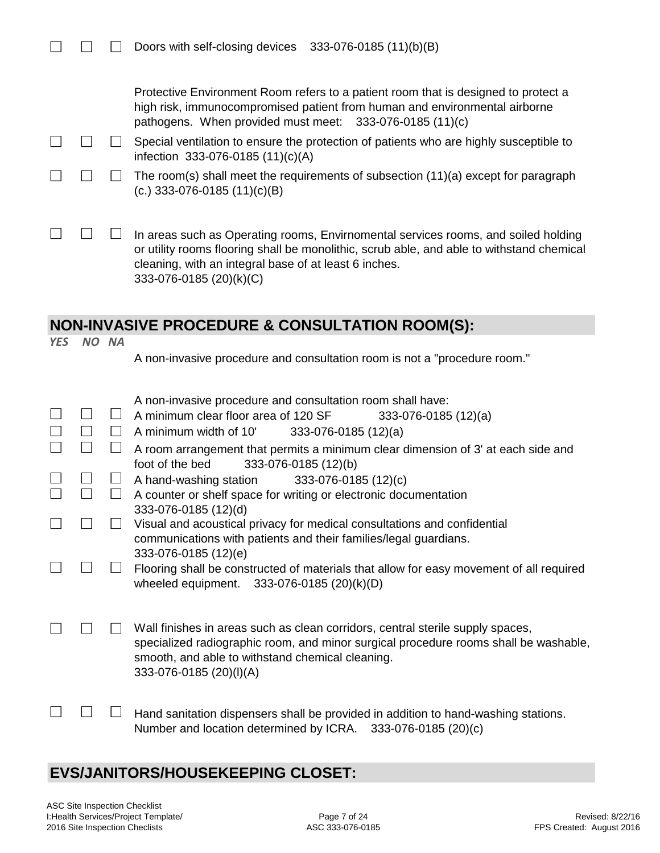| $\Box$ $\Box$ Doors with self-closing devices 333-076-0185 (11)(b)(B) |  |  |
|-----------------------------------------------------------------------|--|--|
|-----------------------------------------------------------------------|--|--|

Protective Environment Room refers to a patient room that is designed to protect a high risk, immunocompromised patient from human and environmental airborne pathogens. When provided must meet: 333-076-0185 (11)(c)

 $\Box$  $\Box$  $\Box$  Special ventilation to ensure the protection of patients who are highly susceptible to infection 333-076-0185 (11)(c)(A)

|  | $\Box$ $\Box$ The room(s) shall meet the requirements of subsection (11)(a) except for paragraph |
|--|--------------------------------------------------------------------------------------------------|
|  | (c.) 333-076-0185 $(11)(c)(B)$                                                                   |

 $\Box$  $\Box$  $\mathbb{R}^n$ In areas such as Operating rooms, Envirnomental services rooms, and soiled holding or utility rooms flooring shall be monolithic, scrub able, and able to withstand chemical cleaning, with an integral base of at least 6 inches. 333-076-0185 (20)(k)(C)

#### **NON-INVASIVE PROCEDURE & CONSULTATION ROOM(S):**

A non-invasive procedure and consultation room is not a "procedure room."

|  | A non-invasive procedure and consultation room shall have:                                                                                                                                                                                            |
|--|-------------------------------------------------------------------------------------------------------------------------------------------------------------------------------------------------------------------------------------------------------|
|  | A minimum clear floor area of 120 SF<br>$333-076-0185(12)(a)$                                                                                                                                                                                         |
|  | A minimum width of 10'<br>$333-076-0185(12)(a)$                                                                                                                                                                                                       |
|  | A room arrangement that permits a minimum clear dimension of 3' at each side and<br>foot of the bed<br>333-076-0185 (12)(b)                                                                                                                           |
|  | A hand-washing station<br>333-076-0185 (12)(c)                                                                                                                                                                                                        |
|  |                                                                                                                                                                                                                                                       |
|  | A counter or shelf space for writing or electronic documentation<br>333-076-0185 (12)(d)                                                                                                                                                              |
|  | Visual and acoustical privacy for medical consultations and confidential                                                                                                                                                                              |
|  |                                                                                                                                                                                                                                                       |
|  | communications with patients and their families/legal guardians.                                                                                                                                                                                      |
|  | 333-076-0185 (12)(e)                                                                                                                                                                                                                                  |
|  | Flooring shall be constructed of materials that allow for easy movement of all required<br>wheeled equipment. 333-076-0185 (20)(k)(D)                                                                                                                 |
|  |                                                                                                                                                                                                                                                       |
|  | Wall finishes in areas such as clean corridors, central sterile supply spaces,<br>specialized radiographic room, and minor surgical procedure rooms shall be washable,<br>smooth, and able to withstand chemical cleaning.<br>333-076-0185 (20)(I)(A) |
|  | Hand sanitation dispensers shall be provided in addition to hand-washing stations.<br>Number and location determined by ICRA. 333-076-0185 (20)(c)                                                                                                    |

#### **EVS/JANITORS/HOUSEKEEPING CLOSET:**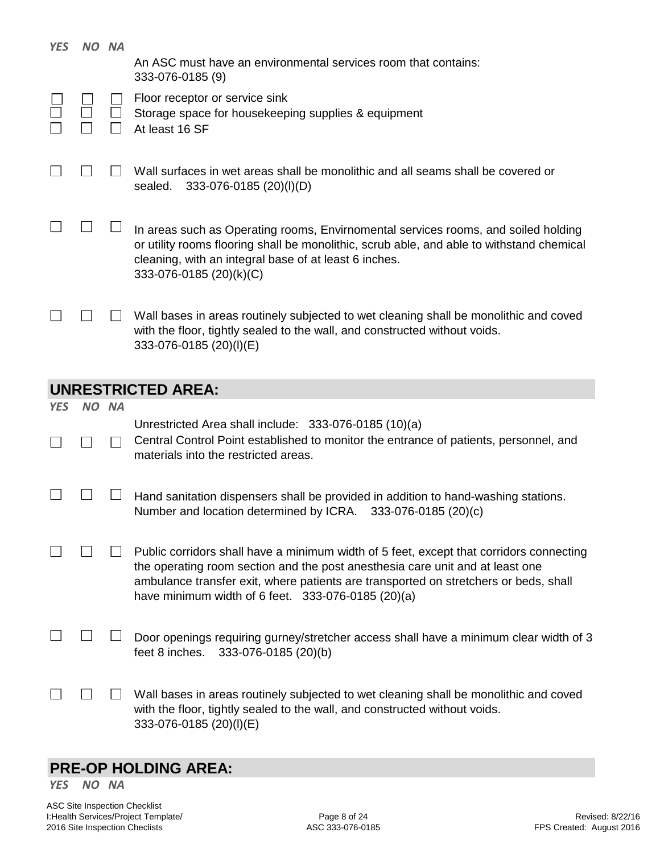| <b>YES</b> | NO NA |                                                                                                                                                                                                                                                                                                                        |
|------------|-------|------------------------------------------------------------------------------------------------------------------------------------------------------------------------------------------------------------------------------------------------------------------------------------------------------------------------|
|            |       | An ASC must have an environmental services room that contains:<br>333-076-0185 (9)                                                                                                                                                                                                                                     |
|            |       | Floor receptor or service sink<br>Storage space for housekeeping supplies & equipment<br>At least 16 SF                                                                                                                                                                                                                |
|            |       | Wall surfaces in wet areas shall be monolithic and all seams shall be covered or<br>333-076-0185 (20)(I)(D)<br>sealed.                                                                                                                                                                                                 |
|            |       | In areas such as Operating rooms, Envirnomental services rooms, and soiled holding<br>or utility rooms flooring shall be monolithic, scrub able, and able to withstand chemical<br>cleaning, with an integral base of at least 6 inches.<br>333-076-0185 (20)(k)(C)                                                    |
|            |       | Wall bases in areas routinely subjected to wet cleaning shall be monolithic and coved<br>with the floor, tightly sealed to the wall, and constructed without voids.<br>333-076-0185 (20)(I)(E)                                                                                                                         |
|            |       |                                                                                                                                                                                                                                                                                                                        |
|            |       | <b>UNRESTRICTED AREA:</b>                                                                                                                                                                                                                                                                                              |
| <b>YES</b> | NO NA | Unrestricted Area shall include: 333-076-0185 (10)(a)<br>Central Control Point established to monitor the entrance of patients, personnel, and<br>materials into the restricted areas.                                                                                                                                 |
|            |       | Hand sanitation dispensers shall be provided in addition to hand-washing stations.<br>Number and location determined by ICRA.<br>333-076-0185 (20)(c)                                                                                                                                                                  |
|            |       | Public corridors shall have a minimum width of 5 feet, except that corridors connecting<br>the operating room section and the post anesthesia care unit and at least one<br>ambulance transfer exit, where patients are transported on stretchers or beds, shall<br>have minimum width of 6 feet. 333-076-0185 (20)(a) |
|            |       | Door openings requiring gurney/stretcher access shall have a minimum clear width of 3<br>feet 8 inches.<br>333-076-0185 (20)(b)                                                                                                                                                                                        |

# **PRE-OP HOLDING AREA:**

*YES NO NA*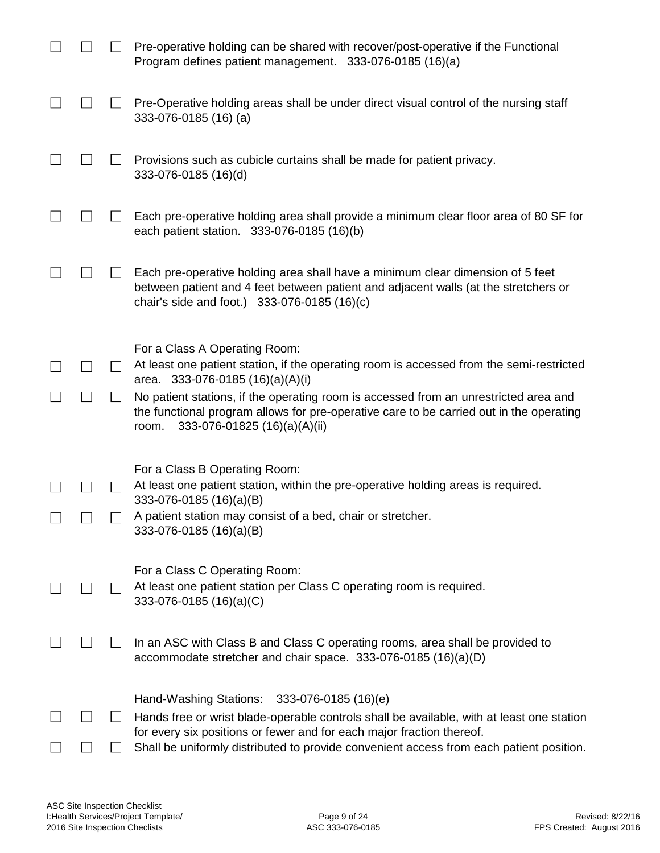|  | Pre-operative holding can be shared with recover/post-operative if the Functional<br>Program defines patient management. 333-076-0185 (16)(a)                                                                            |
|--|--------------------------------------------------------------------------------------------------------------------------------------------------------------------------------------------------------------------------|
|  | Pre-Operative holding areas shall be under direct visual control of the nursing staff<br>333-076-0185 (16) (a)                                                                                                           |
|  | Provisions such as cubicle curtains shall be made for patient privacy.<br>333-076-0185 (16)(d)                                                                                                                           |
|  | Each pre-operative holding area shall provide a minimum clear floor area of 80 SF for<br>each patient station. 333-076-0185 (16)(b)                                                                                      |
|  | Each pre-operative holding area shall have a minimum clear dimension of 5 feet<br>between patient and 4 feet between patient and adjacent walls (at the stretchers or<br>chair's side and foot.) 333-076-0185 (16)(c)    |
|  | For a Class A Operating Room:<br>At least one patient station, if the operating room is accessed from the semi-restricted<br>area. 333-076-0185 (16)(a)(A)(i)                                                            |
|  | No patient stations, if the operating room is accessed from an unrestricted area and<br>the functional program allows for pre-operative care to be carried out in the operating<br>333-076-01825 (16)(a)(A)(ii)<br>room. |
|  | For a Class B Operating Room:<br>At least one patient station, within the pre-operative holding areas is required.                                                                                                       |
|  | 333-076-0185 (16)(a)(B)<br>A patient station may consist of a bed, chair or stretcher.<br>333-076-0185 (16)(a)(B)                                                                                                        |
|  | For a Class C Operating Room:<br>At least one patient station per Class C operating room is required.<br>333-076-0185 (16)(a)(C)                                                                                         |
|  | In an ASC with Class B and Class C operating rooms, area shall be provided to<br>accommodate stretcher and chair space. 333-076-0185 (16)(a)(D)                                                                          |
|  | Hand-Washing Stations:<br>333-076-0185 (16)(e)                                                                                                                                                                           |
|  | Hands free or wrist blade-operable controls shall be available, with at least one station<br>for every six positions or fewer and for each major fraction thereof.                                                       |
|  | Shall be uniformly distributed to provide convenient access from each patient position.                                                                                                                                  |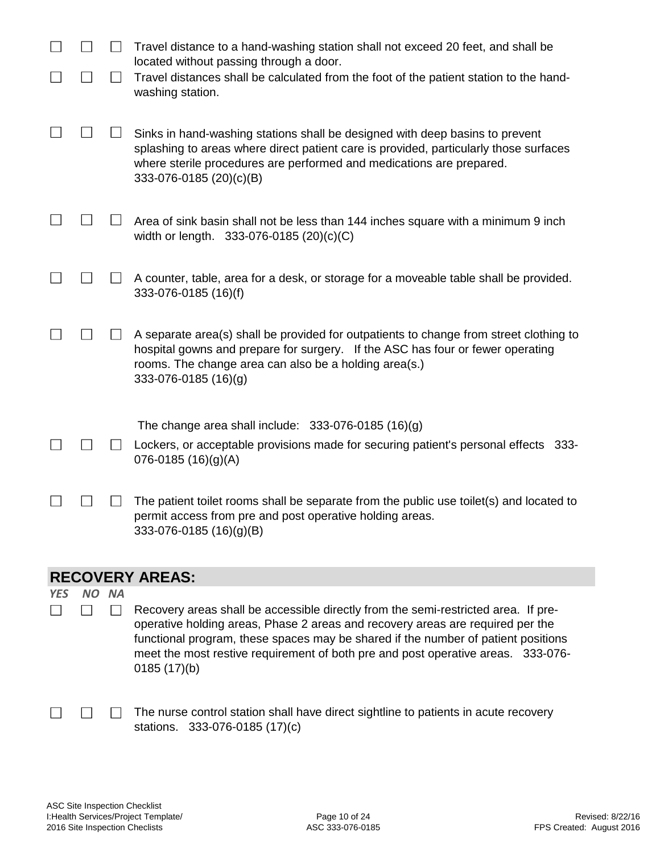|            |       | Travel distance to a hand-washing station shall not exceed 20 feet, and shall be                                                                                                                                                                                                                                                                             |
|------------|-------|--------------------------------------------------------------------------------------------------------------------------------------------------------------------------------------------------------------------------------------------------------------------------------------------------------------------------------------------------------------|
|            |       | located without passing through a door.<br>Travel distances shall be calculated from the foot of the patient station to the hand-<br>washing station.                                                                                                                                                                                                        |
|            |       | Sinks in hand-washing stations shall be designed with deep basins to prevent<br>splashing to areas where direct patient care is provided, particularly those surfaces<br>where sterile procedures are performed and medications are prepared.<br>333-076-0185 (20)(c)(B)                                                                                     |
|            |       | Area of sink basin shall not be less than 144 inches square with a minimum 9 inch<br>width or length. 333-076-0185 (20)(c)(C)                                                                                                                                                                                                                                |
|            |       | A counter, table, area for a desk, or storage for a moveable table shall be provided.<br>333-076-0185 (16)(f)                                                                                                                                                                                                                                                |
|            |       | A separate area(s) shall be provided for outpatients to change from street clothing to<br>hospital gowns and prepare for surgery. If the ASC has four or fewer operating<br>rooms. The change area can also be a holding area(s.)<br>333-076-0185 (16)(g)                                                                                                    |
|            |       | The change area shall include: $333-076-0185(16)(g)$                                                                                                                                                                                                                                                                                                         |
|            |       | Lockers, or acceptable provisions made for securing patient's personal effects 333-<br>$076 - 0185$ (16)(g)(A)                                                                                                                                                                                                                                               |
|            |       | The patient toilet rooms shall be separate from the public use toilet(s) and located to<br>permit access from pre and post operative holding areas.<br>$333-076-0185(16)(g)(B)$                                                                                                                                                                              |
|            |       | <b>RECOVERY AREAS:</b>                                                                                                                                                                                                                                                                                                                                       |
| <b>YES</b> | NO NA | Recovery areas shall be accessible directly from the semi-restricted area. If pre-<br>operative holding areas, Phase 2 areas and recovery areas are required per the<br>functional program, these spaces may be shared if the number of patient positions<br>meet the most restive requirement of both pre and post operative areas. 333-076-<br>0185(17)(b) |
|            |       | The nurse control station shall have direct sightline to patients in acute recovery                                                                                                                                                                                                                                                                          |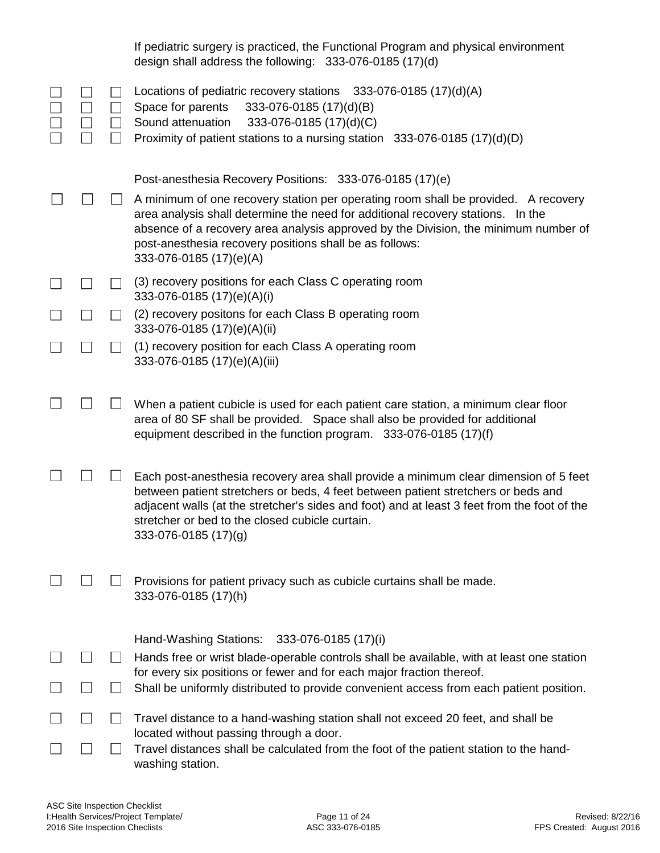|              |                                       | If pediatric surgery is practiced, the Functional Program and physical environment<br>design shall address the following: 333-076-0185 (17)(d)                                                                                                                                                                                                      |
|--------------|---------------------------------------|-----------------------------------------------------------------------------------------------------------------------------------------------------------------------------------------------------------------------------------------------------------------------------------------------------------------------------------------------------|
|              | $\vert \ \ \vert$<br>$\Box$<br>$\Box$ | Locations of pediatric recovery stations 333-076-0185 (17)(d)(A)<br>Space for parents<br>333-076-0185 (17)(d)(B)<br>Sound attenuation<br>333-076-0185 (17)(d)(C)<br>Proximity of patient stations to a nursing station 333-076-0185 (17)(d)(D)                                                                                                      |
|              |                                       | Post-anesthesia Recovery Positions: 333-076-0185 (17)(e)                                                                                                                                                                                                                                                                                            |
|              |                                       | A minimum of one recovery station per operating room shall be provided. A recovery<br>area analysis shall determine the need for additional recovery stations. In the<br>absence of a recovery area analysis approved by the Division, the minimum number of<br>post-anesthesia recovery positions shall be as follows:<br>333-076-0185 (17)(e)(A)  |
|              | $\blacksquare$                        | (3) recovery positions for each Class C operating room<br>333-076-0185 (17)(e)(A)(i)                                                                                                                                                                                                                                                                |
| $\mathsf{L}$ | $\mathsf{L}$                          | (2) recovery positons for each Class B operating room<br>333-076-0185 (17)(e)(A)(ii)                                                                                                                                                                                                                                                                |
|              |                                       | (1) recovery position for each Class A operating room<br>333-076-0185 (17)(e)(A)(iii)                                                                                                                                                                                                                                                               |
|              |                                       | When a patient cubicle is used for each patient care station, a minimum clear floor<br>area of 80 SF shall be provided. Space shall also be provided for additional<br>equipment described in the function program. 333-076-0185 (17)(f)                                                                                                            |
|              |                                       | Each post-anesthesia recovery area shall provide a minimum clear dimension of 5 feet<br>between patient stretchers or beds, 4 feet between patient stretchers or beds and<br>adjacent walls (at the stretcher's sides and foot) and at least 3 feet from the foot of the<br>stretcher or bed to the closed cubicle curtain.<br>333-076-0185 (17)(g) |
|              |                                       | Provisions for patient privacy such as cubicle curtains shall be made.<br>333-076-0185 (17)(h)                                                                                                                                                                                                                                                      |
|              |                                       | Hand-Washing Stations:<br>333-076-0185 (17)(i)                                                                                                                                                                                                                                                                                                      |
|              | $\mathsf{L}$                          | Hands free or wrist blade-operable controls shall be available, with at least one station<br>for every six positions or fewer and for each major fraction thereof.                                                                                                                                                                                  |
|              |                                       | Shall be uniformly distributed to provide convenient access from each patient position.                                                                                                                                                                                                                                                             |
|              |                                       | Travel distance to a hand-washing station shall not exceed 20 feet, and shall be                                                                                                                                                                                                                                                                    |
|              |                                       | located without passing through a door.<br>Travel distances shall be calculated from the foot of the patient station to the hand-<br>washing station.                                                                                                                                                                                               |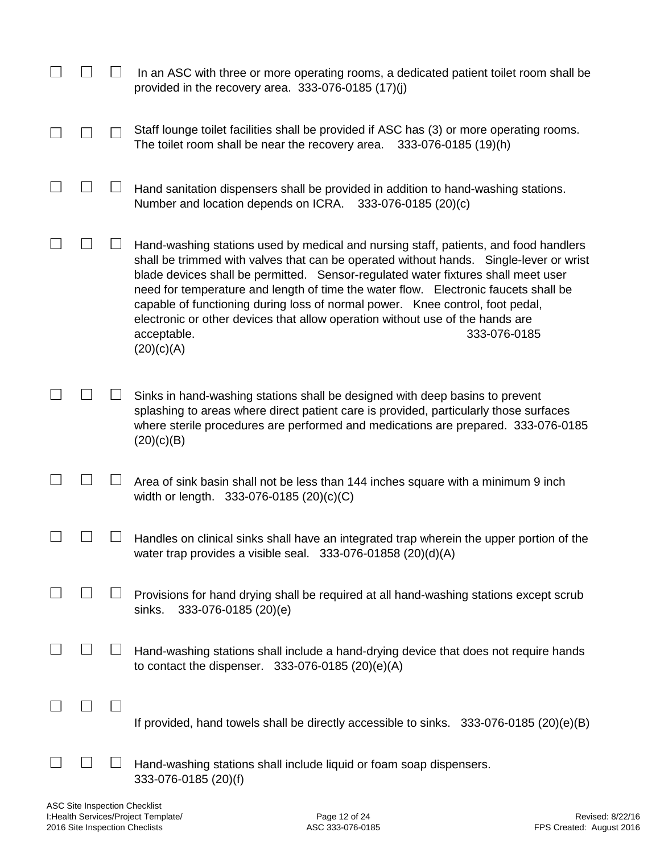|  | In an ASC with three or more operating rooms, a dedicated patient toilet room shall be<br>provided in the recovery area. $333-076-0185(17)(i)$                                                                                                                                                                                                                                                                                                                                                                                                                            |
|--|---------------------------------------------------------------------------------------------------------------------------------------------------------------------------------------------------------------------------------------------------------------------------------------------------------------------------------------------------------------------------------------------------------------------------------------------------------------------------------------------------------------------------------------------------------------------------|
|  | Staff lounge toilet facilities shall be provided if ASC has (3) or more operating rooms.<br>The toilet room shall be near the recovery area.<br>333-076-0185 (19)(h)                                                                                                                                                                                                                                                                                                                                                                                                      |
|  | Hand sanitation dispensers shall be provided in addition to hand-washing stations.<br>Number and location depends on ICRA.<br>333-076-0185 (20)(c)                                                                                                                                                                                                                                                                                                                                                                                                                        |
|  | Hand-washing stations used by medical and nursing staff, patients, and food handlers<br>shall be trimmed with valves that can be operated without hands. Single-lever or wrist<br>blade devices shall be permitted. Sensor-regulated water fixtures shall meet user<br>need for temperature and length of time the water flow. Electronic faucets shall be<br>capable of functioning during loss of normal power. Knee control, foot pedal,<br>electronic or other devices that allow operation without use of the hands are<br>333-076-0185<br>acceptable.<br>(20)(c)(A) |
|  | Sinks in hand-washing stations shall be designed with deep basins to prevent<br>splashing to areas where direct patient care is provided, particularly those surfaces<br>where sterile procedures are performed and medications are prepared. 333-076-0185<br>(20)(c)(B)                                                                                                                                                                                                                                                                                                  |
|  | Area of sink basin shall not be less than 144 inches square with a minimum 9 inch<br>width or length. 333-076-0185 (20)(c)(C)                                                                                                                                                                                                                                                                                                                                                                                                                                             |
|  | Handles on clinical sinks shall have an integrated trap wherein the upper portion of the<br>water trap provides a visible seal. $333-076-01858$ (20)(d)(A)                                                                                                                                                                                                                                                                                                                                                                                                                |
|  | Provisions for hand drying shall be required at all hand-washing stations except scrub<br>333-076-0185 (20)(e)<br>sinks.                                                                                                                                                                                                                                                                                                                                                                                                                                                  |
|  | Hand-washing stations shall include a hand-drying device that does not require hands<br>to contact the dispenser. 333-076-0185 (20)(e)(A)                                                                                                                                                                                                                                                                                                                                                                                                                                 |
|  | If provided, hand towels shall be directly accessible to sinks. 333-076-0185 (20)(e)(B)                                                                                                                                                                                                                                                                                                                                                                                                                                                                                   |
|  | Hand-washing stations shall include liquid or foam soap dispensers.<br>333-076-0185 (20)(f)                                                                                                                                                                                                                                                                                                                                                                                                                                                                               |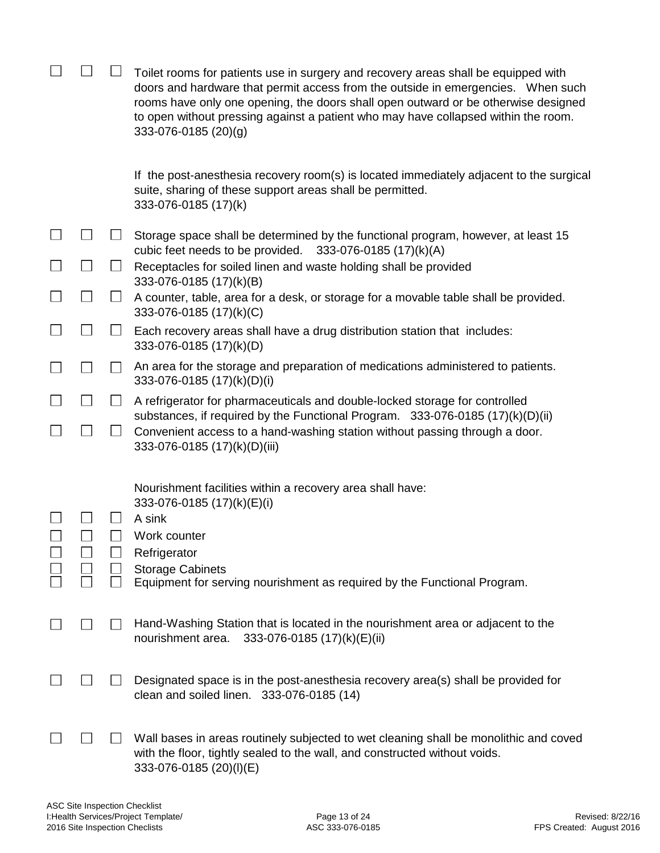|                   |                | Toilet rooms for patients use in surgery and recovery areas shall be equipped with<br>doors and hardware that permit access from the outside in emergencies. When such<br>rooms have only one opening, the doors shall open outward or be otherwise designed<br>to open without pressing against a patient who may have collapsed within the room.<br>333-076-0185 (20)(g) |  |
|-------------------|----------------|----------------------------------------------------------------------------------------------------------------------------------------------------------------------------------------------------------------------------------------------------------------------------------------------------------------------------------------------------------------------------|--|
|                   |                | If the post-anesthesia recovery room(s) is located immediately adjacent to the surgical<br>suite, sharing of these support areas shall be permitted.<br>333-076-0185 (17)(k)                                                                                                                                                                                               |  |
|                   |                | Storage space shall be determined by the functional program, however, at least 15<br>cubic feet needs to be provided. $333-076-0185(17)(k)(A)$                                                                                                                                                                                                                             |  |
| $\Box$            | $\perp$        | Receptacles for soiled linen and waste holding shall be provided<br>333-076-0185 (17)(k)(B)                                                                                                                                                                                                                                                                                |  |
| $\vert \ \ \vert$ | $\perp$        | A counter, table, area for a desk, or storage for a movable table shall be provided.<br>333-076-0185 (17)(k)(C)                                                                                                                                                                                                                                                            |  |
| $\mathcal{L}$     | $\mathsf{L}$   | Each recovery areas shall have a drug distribution station that includes:<br>333-076-0185 (17)(k)(D)                                                                                                                                                                                                                                                                       |  |
| $\blacksquare$    | $\blacksquare$ | An area for the storage and preparation of medications administered to patients.<br>333-076-0185 (17)(k)(D)(i)                                                                                                                                                                                                                                                             |  |
| $\blacksquare$    |                | A refrigerator for pharmaceuticals and double-locked storage for controlled<br>substances, if required by the Functional Program. 333-076-0185 (17)(k)(D)(ii)                                                                                                                                                                                                              |  |
|                   | $\Box$         | Convenient access to a hand-washing station without passing through a door.<br>333-076-0185 (17)(k)(D)(iii)                                                                                                                                                                                                                                                                |  |
|                   |                | Nourishment facilities within a recovery area shall have:<br>333-076-0185 (17)(k)(E)(i)<br>A sink<br>Work counter<br>Refrigerator<br><b>Storage Cabinets</b><br>Equipment for serving nourishment as required by the Functional Program.                                                                                                                                   |  |
|                   |                | Hand-Washing Station that is located in the nourishment area or adjacent to the<br>333-076-0185 (17)(k)(E)(ii)<br>nourishment area.                                                                                                                                                                                                                                        |  |
|                   |                | Designated space is in the post-anesthesia recovery area(s) shall be provided for<br>clean and soiled linen. 333-076-0185 (14)                                                                                                                                                                                                                                             |  |
|                   |                | Wall bases in areas routinely subjected to wet cleaning shall be monolithic and coved<br>with the floor, tightly sealed to the wall, and constructed without voids.<br>333-076-0185 (20)(I)(E)                                                                                                                                                                             |  |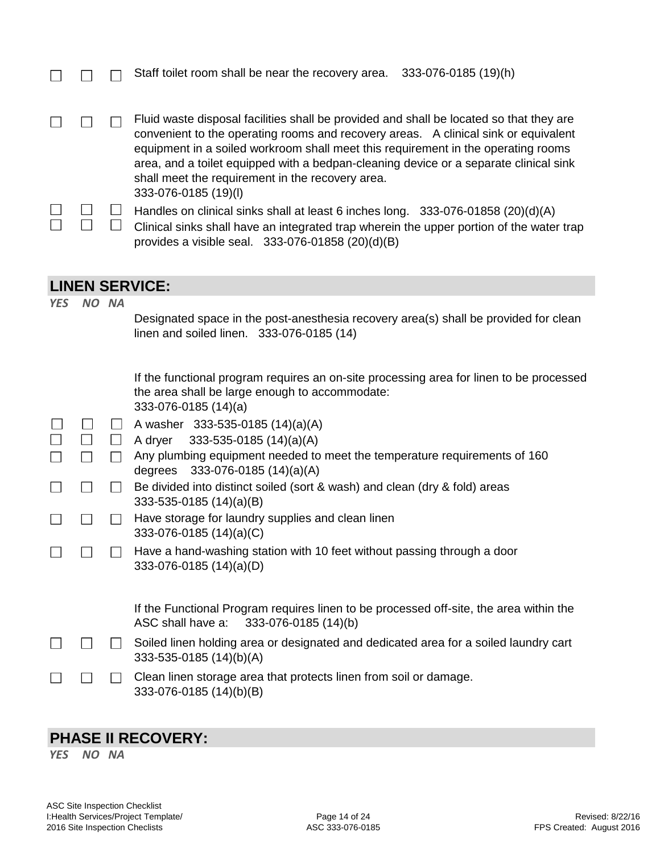|            |                |                  | Staff toilet room shall be near the recovery area. 333-076-0185 (19)(h)                                                                                                                                                                                                                                                                                                                                                                  |  |
|------------|----------------|------------------|------------------------------------------------------------------------------------------------------------------------------------------------------------------------------------------------------------------------------------------------------------------------------------------------------------------------------------------------------------------------------------------------------------------------------------------|--|
|            | $\perp$        | $\perp$          | Fluid waste disposal facilities shall be provided and shall be located so that they are<br>convenient to the operating rooms and recovery areas. A clinical sink or equivalent<br>equipment in a soiled workroom shall meet this requirement in the operating rooms<br>area, and a toilet equipped with a bedpan-cleaning device or a separate clinical sink<br>shall meet the requirement in the recovery area.<br>333-076-0185 (19)(l) |  |
|            |                | $\Box$<br>$\Box$ | Handles on clinical sinks shall at least 6 inches long. 333-076-01858 (20)(d)(A)<br>Clinical sinks shall have an integrated trap wherein the upper portion of the water trap<br>provides a visible seal. 333-076-01858 (20)(d)(B)                                                                                                                                                                                                        |  |
|            |                |                  | <b>LINEN SERVICE:</b>                                                                                                                                                                                                                                                                                                                                                                                                                    |  |
| <b>YES</b> |                | NO NA            | Designated space in the post-anesthesia recovery area(s) shall be provided for clean<br>linen and soiled linen. 333-076-0185 (14)                                                                                                                                                                                                                                                                                                        |  |
|            |                |                  | If the functional program requires an on-site processing area for linen to be processed<br>the area shall be large enough to accommodate:<br>333-076-0185 (14)(a)                                                                                                                                                                                                                                                                        |  |
|            |                | $\Box$           | A washer 333-535-0185 (14)(a)(A)                                                                                                                                                                                                                                                                                                                                                                                                         |  |
|            | $\Box$         | $\Box$           | 333-535-0185 (14)(a)(A)<br>A dryer                                                                                                                                                                                                                                                                                                                                                                                                       |  |
|            | $\Box$         | $\Box$           | Any plumbing equipment needed to meet the temperature requirements of 160<br>degrees 333-076-0185 (14)(a)(A)                                                                                                                                                                                                                                                                                                                             |  |
|            | $\mathsf{L}$   | $\mathsf{L}$     | Be divided into distinct soiled (sort & wash) and clean (dry & fold) areas<br>333-535-0185 (14)(a)(B)                                                                                                                                                                                                                                                                                                                                    |  |
|            | $\Box$         | $\mathsf{L}$     | Have storage for laundry supplies and clean linen<br>333-076-0185 (14)(a)(C)                                                                                                                                                                                                                                                                                                                                                             |  |
|            | $\blacksquare$ | $\mathsf{L}$     | Have a hand-washing station with 10 feet without passing through a door<br>333-076-0185 (14)(a)(D)                                                                                                                                                                                                                                                                                                                                       |  |
|            |                |                  | If the Functional Program requires linen to be processed off-site, the area within the                                                                                                                                                                                                                                                                                                                                                   |  |

ASC shall have a: 333-076-0185 (14)(b) Soiled linen holding area or designated and dedicated area for a soiled laundry cart

333-535-0185 (14)(b)(A) Clean linen storage area that protects linen from soil or damage.  $\Box$  $\Box$ 333-076-0185 (14)(b)(B)

#### **PHASE II RECOVERY:**

*YES NO NA*

 $\Box$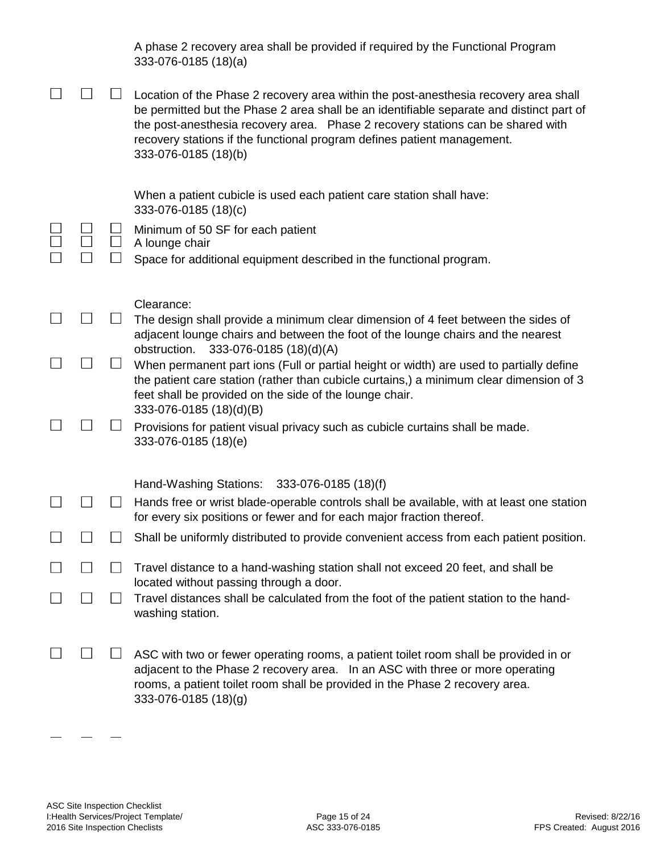|  | A phase 2 recovery area shall be provided if required by the Functional Program<br>333-076-0185 (18)(a)                                                                                                                                                                                                                                                                |
|--|------------------------------------------------------------------------------------------------------------------------------------------------------------------------------------------------------------------------------------------------------------------------------------------------------------------------------------------------------------------------|
|  | Location of the Phase 2 recovery area within the post-anesthesia recovery area shall<br>be permitted but the Phase 2 area shall be an identifiable separate and distinct part of<br>the post-anesthesia recovery area. Phase 2 recovery stations can be shared with<br>recovery stations if the functional program defines patient management.<br>333-076-0185 (18)(b) |
|  | When a patient cubicle is used each patient care station shall have:<br>333-076-0185 (18)(c)                                                                                                                                                                                                                                                                           |
|  | Minimum of 50 SF for each patient<br>A lounge chair                                                                                                                                                                                                                                                                                                                    |
|  | Space for additional equipment described in the functional program.                                                                                                                                                                                                                                                                                                    |
|  | Clearance:                                                                                                                                                                                                                                                                                                                                                             |
|  | The design shall provide a minimum clear dimension of 4 feet between the sides of<br>adjacent lounge chairs and between the foot of the lounge chairs and the nearest                                                                                                                                                                                                  |
|  | obstruction.<br>333-076-0185 (18)(d)(A)<br>When permanent part ions (Full or partial height or width) are used to partially define<br>the patient care station (rather than cubicle curtains,) a minimum clear dimension of 3                                                                                                                                          |
|  | feet shall be provided on the side of the lounge chair.<br>333-076-0185 (18)(d)(B)                                                                                                                                                                                                                                                                                     |
|  | Provisions for patient visual privacy such as cubicle curtains shall be made.<br>333-076-0185 (18)(e)                                                                                                                                                                                                                                                                  |
|  | Hand-Washing Stations:<br>333-076-0185 (18)(f)                                                                                                                                                                                                                                                                                                                         |
|  | Hands free or wrist blade-operable controls shall be available, with at least one station<br>for every six positions or fewer and for each major fraction thereof.                                                                                                                                                                                                     |
|  | Shall be uniformly distributed to provide convenient access from each patient position.                                                                                                                                                                                                                                                                                |
|  | Travel distance to a hand-washing station shall not exceed 20 feet, and shall be                                                                                                                                                                                                                                                                                       |
|  | located without passing through a door.<br>Travel distances shall be calculated from the foot of the patient station to the hand-<br>washing station.                                                                                                                                                                                                                  |
|  | ASC with two or fewer operating rooms, a patient toilet room shall be provided in or<br>adjacent to the Phase 2 recovery area.  In an ASC with three or more operating<br>rooms, a patient toilet room shall be provided in the Phase 2 recovery area.                                                                                                                 |

333-076-0185 (18)(g)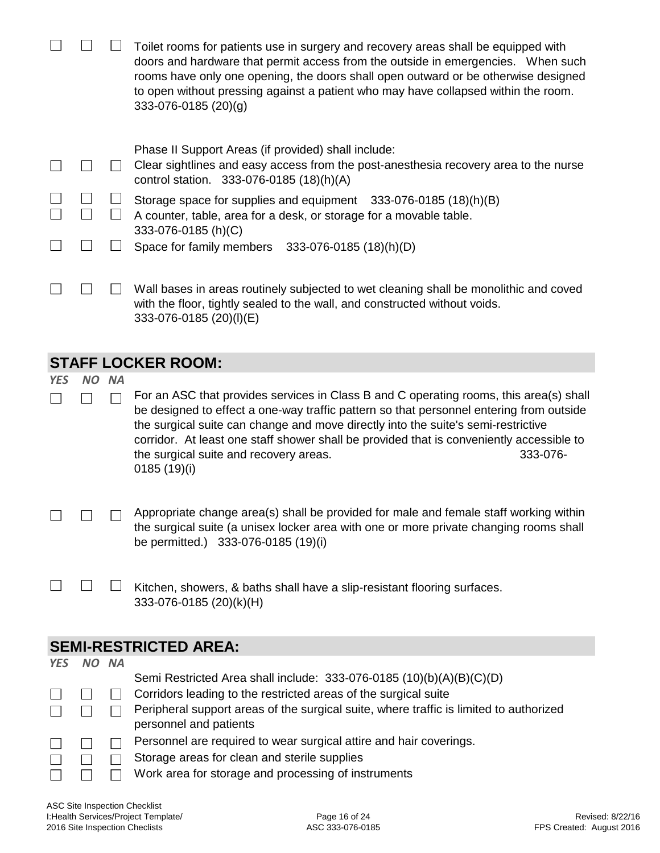|            |           |           | Toilet rooms for patients use in surgery and recovery areas shall be equipped with<br>doors and hardware that permit access from the outside in emergencies. When such<br>rooms have only one opening, the doors shall open outward or be otherwise designed<br>to open without pressing against a patient who may have collapsed within the room.<br>333-076-0185 (20)(g) |
|------------|-----------|-----------|----------------------------------------------------------------------------------------------------------------------------------------------------------------------------------------------------------------------------------------------------------------------------------------------------------------------------------------------------------------------------|
|            |           |           | Phase II Support Areas (if provided) shall include:                                                                                                                                                                                                                                                                                                                        |
|            |           |           | Clear sightlines and easy access from the post-anesthesia recovery area to the nurse<br>control station. 333-076-0185 (18)(h)(A)                                                                                                                                                                                                                                           |
|            |           |           | Storage space for supplies and equipment 333-076-0185 (18)(h)(B)                                                                                                                                                                                                                                                                                                           |
|            |           |           | A counter, table, area for a desk, or storage for a movable table.                                                                                                                                                                                                                                                                                                         |
|            |           |           | 333-076-0185 (h)(C)                                                                                                                                                                                                                                                                                                                                                        |
|            |           |           | Space for family members 333-076-0185 (18)(h)(D)                                                                                                                                                                                                                                                                                                                           |
|            |           |           |                                                                                                                                                                                                                                                                                                                                                                            |
|            |           |           | Wall bases in areas routinely subjected to wet cleaning shall be monolithic and coved                                                                                                                                                                                                                                                                                      |
|            |           |           | with the floor, tightly sealed to the wall, and constructed without voids.                                                                                                                                                                                                                                                                                                 |
|            |           |           | 333-076-0185 (20)(I)(E)                                                                                                                                                                                                                                                                                                                                                    |
|            |           |           |                                                                                                                                                                                                                                                                                                                                                                            |
|            |           |           | <b>STAFF LOCKER ROOM:</b>                                                                                                                                                                                                                                                                                                                                                  |
| <b>YES</b> | <b>NO</b> | <b>NA</b> |                                                                                                                                                                                                                                                                                                                                                                            |
|            |           |           | For an ASC that provides services in Class B and C operating rooms, this area(s) shall                                                                                                                                                                                                                                                                                     |
|            |           |           | be designed to effect a one-way traffic pattern so that personnel entering from outside                                                                                                                                                                                                                                                                                    |

be designed to effect a one-way traffic pattern so that personnel entering from outside the surgical suite can change and move directly into the suite's semi-restrictive corridor. At least one staff shower shall be provided that is conveniently accessible to the surgical suite and recovery areas. **333-076-**0185 (19)(i)

Appropriate change area(s) shall be provided for male and female staff working within  $\overline{\phantom{a}}$  $\Box$  $\Box$ the surgical suite (a unisex locker area with one or more private changing rooms shall be permitted.) 333-076-0185 (19)(i)

|  | $\Box$ Kitchen, showers, & baths shall have a slip-resistant flooring surfaces. |
|--|---------------------------------------------------------------------------------|
|  | 333-076-0185 (20)(k)(H)                                                         |

#### **SEMI-RESTRICTED AREA:**

| <b>YES</b>   | <b>NA</b> |                                                                                        |
|--------------|-----------|----------------------------------------------------------------------------------------|
|              |           | Semi Restricted Area shall include: 333-076-0185 (10)(b)(A)(B)(C)(D)                   |
|              |           | Corridors leading to the restricted areas of the surgical suite                        |
|              |           | Peripheral support areas of the surgical suite, where traffic is limited to authorized |
|              |           | personnel and patients                                                                 |
| $\mathbf{L}$ |           | Personnel are required to wear surgical attire and hair coverings.                     |
|              |           | Storage areas for clean and sterile supplies                                           |
|              |           | Work area for storage and processing of instruments                                    |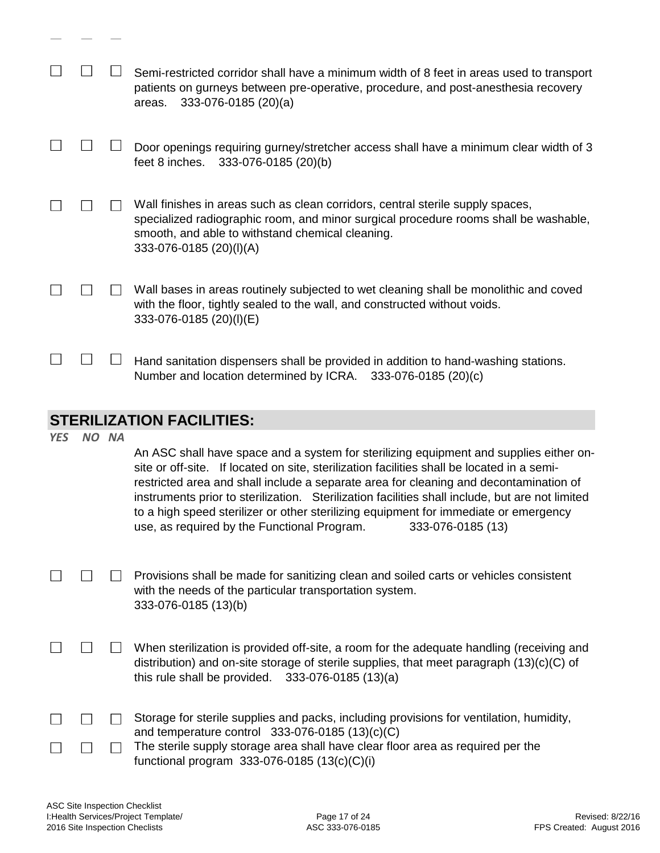|            |       | Semi-restricted corridor shall have a minimum width of 8 feet in areas used to transport<br>patients on gurneys between pre-operative, procedure, and post-anesthesia recovery<br>333-076-0185 (20)(a)<br>areas.                                                                                                                                                                                                                                                                                                                             |
|------------|-------|----------------------------------------------------------------------------------------------------------------------------------------------------------------------------------------------------------------------------------------------------------------------------------------------------------------------------------------------------------------------------------------------------------------------------------------------------------------------------------------------------------------------------------------------|
|            |       | Door openings requiring gurney/stretcher access shall have a minimum clear width of 3<br>feet 8 inches.<br>333-076-0185 (20)(b)                                                                                                                                                                                                                                                                                                                                                                                                              |
|            |       | Wall finishes in areas such as clean corridors, central sterile supply spaces,<br>specialized radiographic room, and minor surgical procedure rooms shall be washable,<br>smooth, and able to withstand chemical cleaning.<br>333-076-0185 (20)(I)(A)                                                                                                                                                                                                                                                                                        |
|            |       | Wall bases in areas routinely subjected to wet cleaning shall be monolithic and coved<br>with the floor, tightly sealed to the wall, and constructed without voids.<br>333-076-0185 (20)(I)(E)                                                                                                                                                                                                                                                                                                                                               |
|            |       | Hand sanitation dispensers shall be provided in addition to hand-washing stations.<br>Number and location determined by ICRA. 333-076-0185 (20)(c)                                                                                                                                                                                                                                                                                                                                                                                           |
|            |       | <b>STERILIZATION FACILITIES:</b>                                                                                                                                                                                                                                                                                                                                                                                                                                                                                                             |
| <b>YES</b> | NO NA | An ASC shall have space and a system for sterilizing equipment and supplies either on-<br>site or off-site. If located on site, sterilization facilities shall be located in a semi-<br>restricted area and shall include a separate area for cleaning and decontamination of<br>instruments prior to sterilization. Sterilization facilities shall include, but are not limited<br>to a high speed sterilizer or other sterilizing equipment for immediate or emergency<br>use, as required by the Functional Program.<br>333-076-0185 (13) |
|            |       | Provisions shall be made for sanitizing clean and soiled carts or vehicles consistent<br>with the needs of the particular transportation system.<br>333-076-0185 (13)(b)                                                                                                                                                                                                                                                                                                                                                                     |

- $\Box$  $\Box$  When sterilization is provided off-site, a room for the adequate handling (receiving and distribution) and on-site storage of sterile supplies, that meet paragraph (13)(c)(C) of this rule shall be provided. 333-076-0185 (13)(a)
- $\Box$  Storage for sterile supplies and packs, including provisions for ventilation, humidity,  $\Box$  $\Box$ and temperature control 333-076-0185 (13)(c)(C) The sterile supply storage area shall have clear floor area as required per the  $\Box$  $\Box$  $\Box$

| . |                                                |
|---|------------------------------------------------|
|   | functional program $333-076-0185(13(c)(c)(i))$ |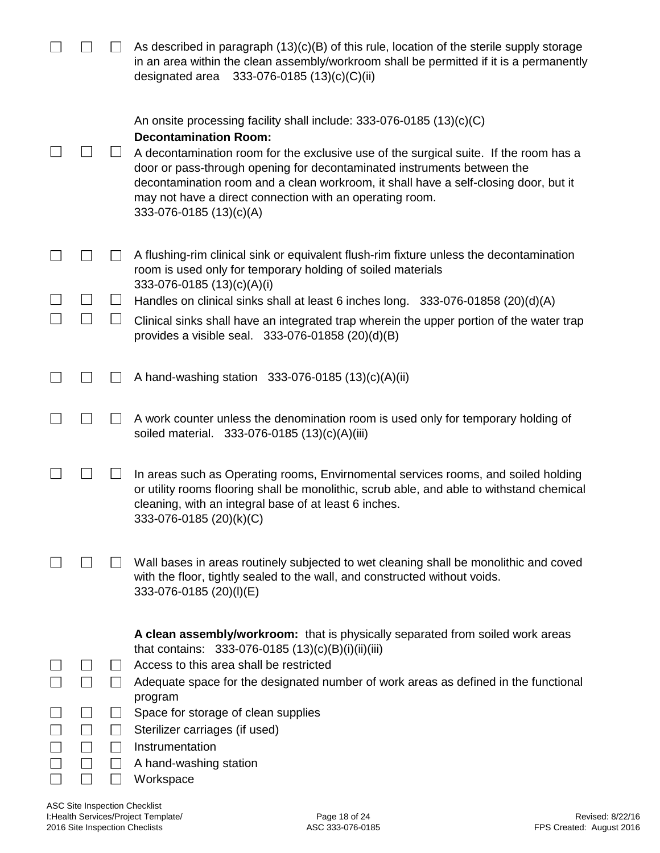|              | As described in paragraph $(13)(c)(B)$ of this rule, location of the sterile supply storage<br>in an area within the clean assembly/workroom shall be permitted if it is a permanently<br>333-076-0185 (13)(c)(C)(ii)<br>designated area                                                                                                                                                                                                                 |
|--------------|----------------------------------------------------------------------------------------------------------------------------------------------------------------------------------------------------------------------------------------------------------------------------------------------------------------------------------------------------------------------------------------------------------------------------------------------------------|
|              | An onsite processing facility shall include: $333-076-0185(13)(c)(C)$<br><b>Decontamination Room:</b><br>A decontamination room for the exclusive use of the surgical suite. If the room has a<br>door or pass-through opening for decontaminated instruments between the<br>decontamination room and a clean workroom, it shall have a self-closing door, but it<br>may not have a direct connection with an operating room.<br>333-076-0185 (13)(c)(A) |
|              | A flushing-rim clinical sink or equivalent flush-rim fixture unless the decontamination<br>room is used only for temporary holding of soiled materials                                                                                                                                                                                                                                                                                                   |
|              | 333-076-0185 (13)(c)(A)(i)<br>Handles on clinical sinks shall at least 6 inches long. 333-076-01858 (20)(d)(A)                                                                                                                                                                                                                                                                                                                                           |
| $\mathsf{L}$ | Clinical sinks shall have an integrated trap wherein the upper portion of the water trap<br>provides a visible seal. 333-076-01858 (20)(d)(B)                                                                                                                                                                                                                                                                                                            |
|              | A hand-washing station 333-076-0185 (13)(c)(A)(ii)                                                                                                                                                                                                                                                                                                                                                                                                       |
|              | A work counter unless the denomination room is used only for temporary holding of<br>soiled material. 333-076-0185 (13)(c)(A)(iii)                                                                                                                                                                                                                                                                                                                       |
|              | In areas such as Operating rooms, Envirnomental services rooms, and soiled holding<br>or utility rooms flooring shall be monolithic, scrub able, and able to withstand chemical<br>cleaning, with an integral base of at least 6 inches.<br>333-076-0185 (20)(k)(C)                                                                                                                                                                                      |
|              | Wall bases in areas routinely subjected to wet cleaning shall be monolithic and coved<br>with the floor, tightly sealed to the wall, and constructed without voids.<br>333-076-0185 (20)(I)(E)                                                                                                                                                                                                                                                           |
|              | A clean assembly/workroom: that is physically separated from soiled work areas<br>that contains: 333-076-0185 (13)(c)(B)(i)(ii)(iii)                                                                                                                                                                                                                                                                                                                     |
|              | Access to this area shall be restricted                                                                                                                                                                                                                                                                                                                                                                                                                  |
|              | Adequate space for the designated number of work areas as defined in the functional<br>program                                                                                                                                                                                                                                                                                                                                                           |
|              | Space for storage of clean supplies                                                                                                                                                                                                                                                                                                                                                                                                                      |
|              | Sterilizer carriages (if used)                                                                                                                                                                                                                                                                                                                                                                                                                           |
|              | Instrumentation<br>A hand-washing station                                                                                                                                                                                                                                                                                                                                                                                                                |
|              | Workspace                                                                                                                                                                                                                                                                                                                                                                                                                                                |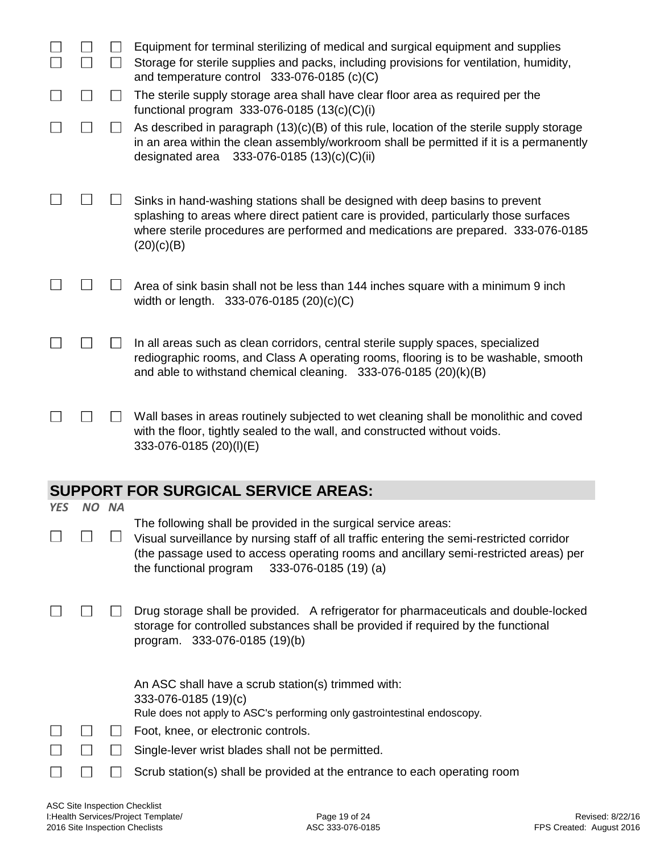|            |       | Equipment for terminal sterilizing of medical and surgical equipment and supplies<br>Storage for sterile supplies and packs, including provisions for ventilation, humidity,<br>and temperature control 333-076-0185 (c)(C)                                                                            |
|------------|-------|--------------------------------------------------------------------------------------------------------------------------------------------------------------------------------------------------------------------------------------------------------------------------------------------------------|
|            |       | The sterile supply storage area shall have clear floor area as required per the                                                                                                                                                                                                                        |
|            |       | functional program $333-076-0185(13(c)(C)(i))$<br>As described in paragraph $(13)(c)(B)$ of this rule, location of the sterile supply storage<br>in an area within the clean assembly/workroom shall be permitted if it is a permanently<br>designated area<br>333-076-0185 (13)(c)(C)(ii)             |
|            |       | Sinks in hand-washing stations shall be designed with deep basins to prevent<br>splashing to areas where direct patient care is provided, particularly those surfaces<br>where sterile procedures are performed and medications are prepared. 333-076-0185<br>(20)(c)(B)                               |
|            |       | Area of sink basin shall not be less than 144 inches square with a minimum 9 inch<br>width or length. 333-076-0185 (20)(c)(C)                                                                                                                                                                          |
|            |       | In all areas such as clean corridors, central sterile supply spaces, specialized<br>rediographic rooms, and Class A operating rooms, flooring is to be washable, smooth<br>and able to withstand chemical cleaning. 333-076-0185 (20)(k)(B)                                                            |
|            |       | Wall bases in areas routinely subjected to wet cleaning shall be monolithic and coved<br>with the floor, tightly sealed to the wall, and constructed without voids.<br>333-076-0185 (20)(I)(E)                                                                                                         |
|            |       | <b>SUPPORT FOR SURGICAL SERVICE AREAS:</b>                                                                                                                                                                                                                                                             |
| <b>YES</b> | NO NA |                                                                                                                                                                                                                                                                                                        |
|            |       | The following shall be provided in the surgical service areas:<br>Visual surveillance by nursing staff of all traffic entering the semi-restricted corridor<br>(the passage used to access operating rooms and ancillary semi-restricted areas) per<br>the functional program<br>333-076-0185 (19) (a) |
|            |       | Drug storage shall be provided. A refrigerator for pharmaceuticals and double-locked<br>storage for controlled substances shall be provided if required by the functional<br>program. 333-076-0185 (19)(b)                                                                                             |
|            |       | An ASC shall have a scrub station(s) trimmed with:<br>333-076-0185 (19)(c)<br>Rule does not apply to ASC's performing only gastrointestinal endoscopy.<br>Foot, knee, or electronic controls.                                                                                                          |
|            |       | Single-lever wrist blades shall not be permitted.                                                                                                                                                                                                                                                      |
|            |       | Scrub station(s) shall be provided at the entrance to each operating room                                                                                                                                                                                                                              |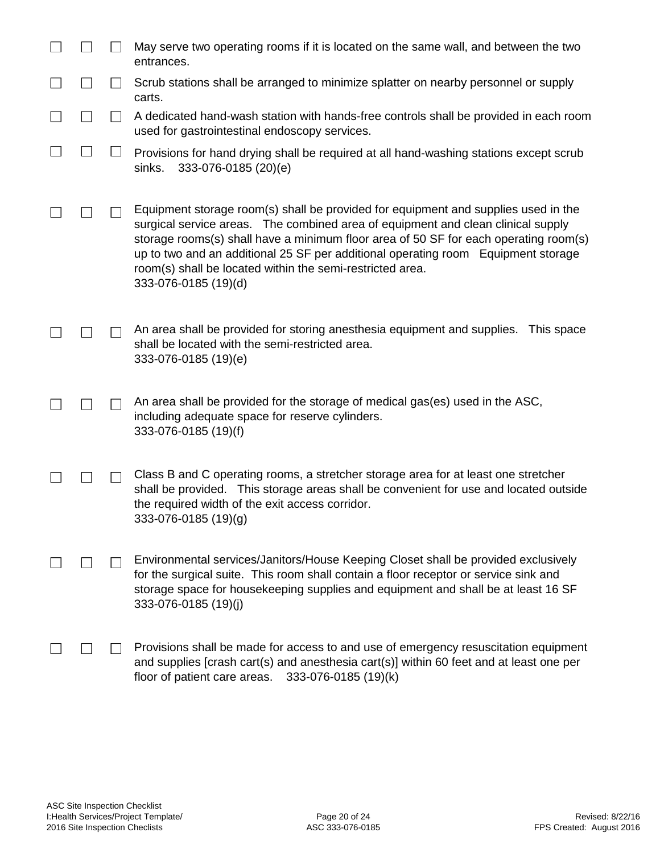|              |                | May serve two operating rooms if it is located on the same wall, and between the two<br>entrances.                                                                                                                                                                                                                                                                                                                                       |
|--------------|----------------|------------------------------------------------------------------------------------------------------------------------------------------------------------------------------------------------------------------------------------------------------------------------------------------------------------------------------------------------------------------------------------------------------------------------------------------|
| $\mathsf{L}$ | $\Box$         | Scrub stations shall be arranged to minimize splatter on nearby personnel or supply<br>carts.                                                                                                                                                                                                                                                                                                                                            |
|              | $\blacksquare$ | A dedicated hand-wash station with hands-free controls shall be provided in each room<br>used for gastrointestinal endoscopy services.                                                                                                                                                                                                                                                                                                   |
|              |                | Provisions for hand drying shall be required at all hand-washing stations except scrub<br>sinks.<br>333-076-0185 (20)(e)                                                                                                                                                                                                                                                                                                                 |
|              |                | Equipment storage room(s) shall be provided for equipment and supplies used in the<br>surgical service areas. The combined area of equipment and clean clinical supply<br>storage rooms(s) shall have a minimum floor area of 50 SF for each operating room(s)<br>up to two and an additional 25 SF per additional operating room Equipment storage<br>room(s) shall be located within the semi-restricted area.<br>333-076-0185 (19)(d) |
|              |                | An area shall be provided for storing anesthesia equipment and supplies.<br>This space<br>shall be located with the semi-restricted area.<br>333-076-0185 (19)(e)                                                                                                                                                                                                                                                                        |
|              |                | An area shall be provided for the storage of medical gas(es) used in the ASC,<br>including adequate space for reserve cylinders.<br>333-076-0185 (19)(f)                                                                                                                                                                                                                                                                                 |
|              |                | Class B and C operating rooms, a stretcher storage area for at least one stretcher<br>shall be provided. This storage areas shall be convenient for use and located outside<br>the required width of the exit access corridor.<br>333-076-0185 (19)(g)                                                                                                                                                                                   |
|              |                | Environmental services/Janitors/House Keeping Closet shall be provided exclusively<br>for the surgical suite. This room shall contain a floor receptor or service sink and<br>storage space for housekeeping supplies and equipment and shall be at least 16 SF<br>333-076-0185 (19)(j)                                                                                                                                                  |
|              |                | Provisions shall be made for access to and use of emergency resuscitation equipment<br>and supplies [crash cart(s) and anesthesia cart(s)] within 60 feet and at least one per<br>floor of patient care areas.<br>333-076-0185 (19)(k)                                                                                                                                                                                                   |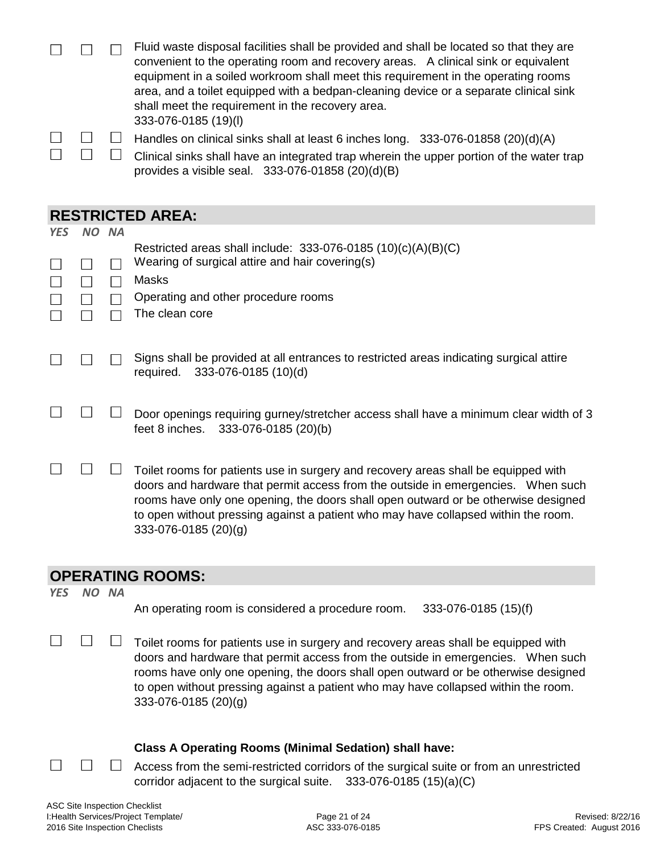|  | Fluid waste disposal facilities shall be provided and shall be located so that they are  |
|--|------------------------------------------------------------------------------------------|
|  | convenient to the operating room and recovery areas. A clinical sink or equivalent       |
|  | equipment in a soiled workroom shall meet this requirement in the operating rooms        |
|  | area, and a toilet equipped with a bedpan-cleaning device or a separate clinical sink    |
|  | shall meet the requirement in the recovery area.                                         |
|  | 333-076-0185 (19)(I)                                                                     |
|  | Handles on clinical sinks shall at least 6 inches long. 333-076-01858 (20)(d)(A)         |
|  | Clinical sinks shall have an integrated trap wherein the upper portion of the water trap |

|  | $\Box$ Clinical sinks shall have an integrated trap wherein the upper portion of the water trap |
|--|-------------------------------------------------------------------------------------------------|
|  | provides a visible seal. $333-076-01858(20)(d)(B)$                                              |

#### **RESTRICTED AREA:**

| <b>YES</b> | NO. | <b>NA</b> |                                                                                                                                                                        |
|------------|-----|-----------|------------------------------------------------------------------------------------------------------------------------------------------------------------------------|
|            |     |           | Restricted areas shall include: $333-076-0185(10)(c)(A)(B)(C)$                                                                                                         |
|            |     |           | Wearing of surgical attire and hair covering(s)                                                                                                                        |
|            |     |           | <b>Masks</b>                                                                                                                                                           |
|            |     |           | Operating and other procedure rooms                                                                                                                                    |
|            |     |           | The clean core                                                                                                                                                         |
|            |     |           |                                                                                                                                                                        |
|            |     |           | Signs shall be provided at all entrances to restricted areas indicating surgical attire                                                                                |
|            |     |           | 333-076-0185 (10)(d)<br>required.                                                                                                                                      |
|            |     |           |                                                                                                                                                                        |
|            |     |           | Door openings requiring gurney/stretcher access shall have a minimum clear width of 3                                                                                  |
|            |     |           | feet 8 inches. 333-076-0185 (20)(b)                                                                                                                                    |
|            |     |           |                                                                                                                                                                        |
|            |     |           | Toilet rooms for patients use in surgery and recovery areas shall be equipped with<br>doors and hardware that permit access from the outside in emergencies. When such |
|            |     |           | rooms have only one opening, the doors shall open outward or be otherwise designed                                                                                     |
|            |     |           | to open without pressing against a patient who may have collapsed within the room.                                                                                     |
|            |     |           | 333-076-0185 (20)(g)                                                                                                                                                   |

#### **OPERATING ROOMS:**

*YES NO NA*

 $\Box$ 

 $\Box$ 

An operating room is considered a procedure room. 333-076-0185 (15)(f)

 $\Box$  $\Box$  $\Box$ Toilet rooms for patients use in surgery and recovery areas shall be equipped with doors and hardware that permit access from the outside in emergencies. When such rooms have only one opening, the doors shall open outward or be otherwise designed to open without pressing against a patient who may have collapsed within the room. 333-076-0185 (20)(g)

#### **Class A Operating Rooms (Minimal Sedation) shall have:**

Access from the semi-restricted corridors of the surgical suite or from an unrestricted corridor adjacent to the surgical suite. 333-076-0185 (15)(a)(C)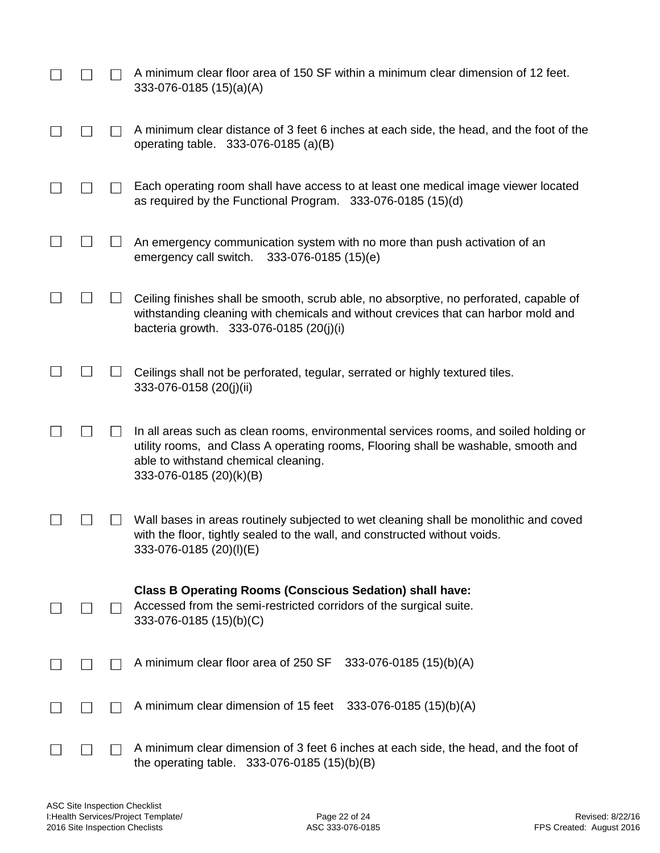|  | A minimum clear floor area of 150 SF within a minimum clear dimension of 12 feet.<br>333-076-0185 (15)(a)(A)                                                                                                                                   |
|--|------------------------------------------------------------------------------------------------------------------------------------------------------------------------------------------------------------------------------------------------|
|  | A minimum clear distance of 3 feet 6 inches at each side, the head, and the foot of the<br>operating table. 333-076-0185 (a)(B)                                                                                                                |
|  | Each operating room shall have access to at least one medical image viewer located<br>as required by the Functional Program. 333-076-0185 (15)(d)                                                                                              |
|  | An emergency communication system with no more than push activation of an<br>emergency call switch.<br>333-076-0185 (15)(e)                                                                                                                    |
|  | Ceiling finishes shall be smooth, scrub able, no absorptive, no perforated, capable of<br>withstanding cleaning with chemicals and without crevices that can harbor mold and<br>bacteria growth. 333-076-0185 (20(j)(i)                        |
|  | Ceilings shall not be perforated, tegular, serrated or highly textured tiles.<br>333-076-0158 (20(j)(ii)                                                                                                                                       |
|  | In all areas such as clean rooms, environmental services rooms, and soiled holding or<br>utility rooms, and Class A operating rooms, Flooring shall be washable, smooth and<br>able to withstand chemical cleaning.<br>333-076-0185 (20)(k)(B) |
|  | Wall bases in areas routinely subjected to wet cleaning shall be monolithic and coved<br>with the floor, tightly sealed to the wall, and constructed without voids.<br>333-076-0185 (20)(I)(E)                                                 |
|  | <b>Class B Operating Rooms (Conscious Sedation) shall have:</b><br>Accessed from the semi-restricted corridors of the surgical suite.<br>333-076-0185 (15)(b)(C)                                                                               |
|  | A minimum clear floor area of 250 SF<br>333-076-0185 (15)(b)(A)                                                                                                                                                                                |
|  | A minimum clear dimension of 15 feet $333-076-0185(15)(b)(A)$                                                                                                                                                                                  |
|  | A minimum clear dimension of 3 feet 6 inches at each side, the head, and the foot of<br>the operating table. $333-076-0185(15)(b)(B)$                                                                                                          |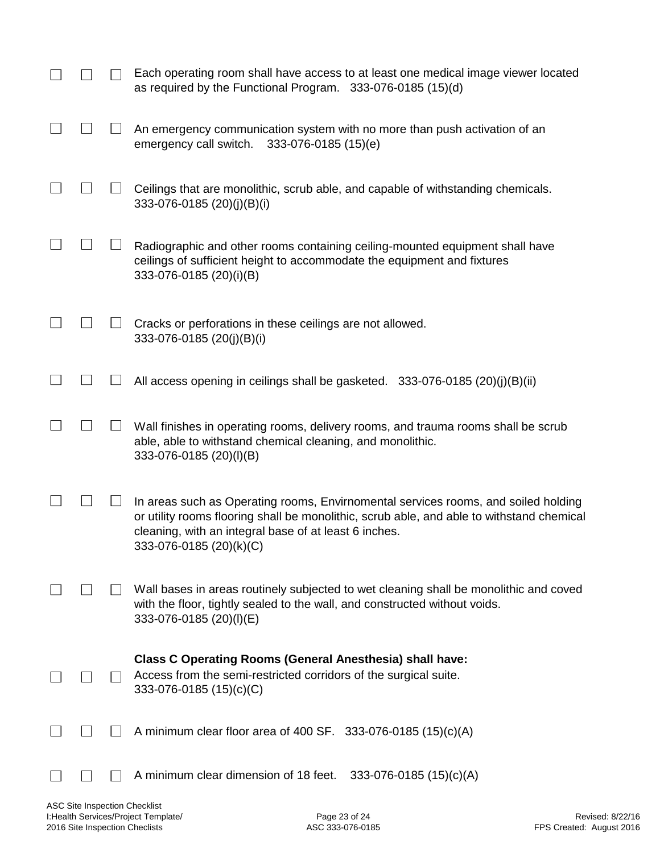|  | Each operating room shall have access to at least one medical image viewer located<br>as required by the Functional Program. 333-076-0185 (15)(d)                                                                                                                   |
|--|---------------------------------------------------------------------------------------------------------------------------------------------------------------------------------------------------------------------------------------------------------------------|
|  | An emergency communication system with no more than push activation of an<br>333-076-0185 (15)(e)<br>emergency call switch.                                                                                                                                         |
|  | Ceilings that are monolithic, scrub able, and capable of withstanding chemicals.<br>333-076-0185 (20)(j)(B)(i)                                                                                                                                                      |
|  | Radiographic and other rooms containing ceiling-mounted equipment shall have<br>ceilings of sufficient height to accommodate the equipment and fixtures<br>333-076-0185 (20)(i)(B)                                                                                  |
|  | Cracks or perforations in these ceilings are not allowed.<br>333-076-0185 (20(j)(B)(i)                                                                                                                                                                              |
|  | All access opening in ceilings shall be gasketed. 333-076-0185 (20)(j)(B)(ii)                                                                                                                                                                                       |
|  | Wall finishes in operating rooms, delivery rooms, and trauma rooms shall be scrub<br>able, able to withstand chemical cleaning, and monolithic.<br>333-076-0185 (20)(I)(B)                                                                                          |
|  | In areas such as Operating rooms, Envirnomental services rooms, and soiled holding<br>or utility rooms flooring shall be monolithic, scrub able, and able to withstand chemical<br>cleaning, with an integral base of at least 6 inches.<br>333-076-0185 (20)(k)(C) |
|  | Wall bases in areas routinely subjected to wet cleaning shall be monolithic and coved<br>with the floor, tightly sealed to the wall, and constructed without voids.<br>333-076-0185 (20)(I)(E)                                                                      |
|  | <b>Class C Operating Rooms (General Anesthesia) shall have:</b><br>Access from the semi-restricted corridors of the surgical suite.<br>333-076-0185 (15)(c)(C)                                                                                                      |
|  | A minimum clear floor area of 400 SF. 333-076-0185 $(15)(c)(A)$                                                                                                                                                                                                     |
|  | A minimum clear dimension of 18 feet.<br>333-076-0185 (15)(c)(A)                                                                                                                                                                                                    |